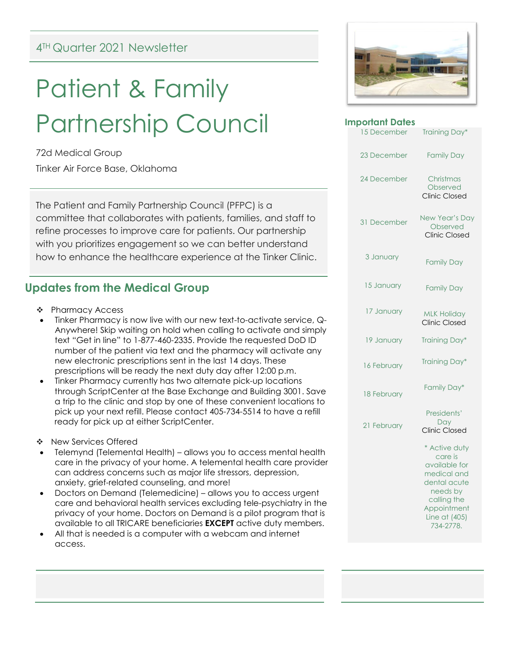# Patient & Family Partnership Council

72d Medical Group

Tinker Air Force Base, Oklahoma

The Patient and Family Partnership Council (PFPC) is a committee that collaborates with patients, families, and staff to refine processes to improve care for patients. Our partnership with you prioritizes engagement so we can better understand how to enhance the healthcare experience at the Tinker Clinic.

## **Updates from the Medical Group**

- ❖ Pharmacy Access
- Tinker Pharmacy is now live with our new text-to-activate service, Q-Anywhere! Skip waiting on hold when calling to activate and simply text "Get in line" to 1-877-460-2335. Provide the requested DoD ID number of the patient via text and the pharmacy will activate any new electronic prescriptions sent in the last 14 days. These prescriptions will be ready the next duty day after 12:00 p.m.
- Tinker Pharmacy currently has two alternate pick-up locations through ScriptCenter at the Base Exchange and Building 3001. Save a trip to the clinic and stop by one of these convenient locations to pick up your next refill. Please contact 405-734-5514 to have a refill ready for pick up at either ScriptCenter.
- ❖ New Services Offered
- Telemynd (Telemental Health) allows you to access mental health care in the privacy of your home. A telemental health care provider can address concerns such as major life stressors, depression, anxiety, grief-related counseling, and more!
- Doctors on Demand (Telemedicine) allows you to access urgent care and behavioral health services excluding tele-psychiatry in the privacy of your home. Doctors on Demand is a pilot program that is available to all TRICARE beneficiaries **EXCEPT** active duty members.
- All that is needed is a computer with a webcam and internet access.



| <b>Important Dates</b> |                                                                                                                                                  |
|------------------------|--------------------------------------------------------------------------------------------------------------------------------------------------|
| 15 December            | Training Day*                                                                                                                                    |
| 23 December            | <b>Family Day</b>                                                                                                                                |
| 24 December            | Christmas<br>Observed<br><b>Clinic Closed</b>                                                                                                    |
| 31 December            | New Year's Day<br>Observed<br><b>Clinic Closed</b>                                                                                               |
| 3 January              | <b>Family Day</b>                                                                                                                                |
| 15 January             | <b>Family Day</b>                                                                                                                                |
| 17 January             | <b>MLK Holiday</b><br><b>Clinic Closed</b>                                                                                                       |
| 19 January             | Training Day*                                                                                                                                    |
| 16 February            | Training Day*                                                                                                                                    |
| 18 February            | Family Day*                                                                                                                                      |
| 21 February            | Presidents'<br>Day<br>Clinic Closed                                                                                                              |
|                        | * Active duty<br>care is<br>available for<br>medical and<br>dental acute<br>needs by<br>calling the<br>Appointment<br>Line at (405)<br>734-2778. |